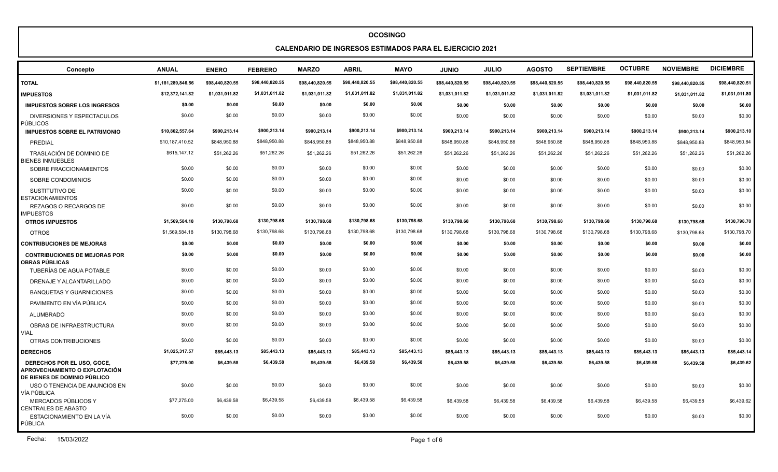# **CALENDARIO DE INGRESOS ESTIMADOS PARA EL EJERCICIO 2021**

| Concepto                                                                                           | <b>ANUAL</b>       | <b>ENERO</b>    | <b>FEBRERO</b>  | <b>MARZO</b>    | <b>ABRIL</b>    | <b>MAYO</b>     | <b>JUNIO</b>    | <b>JULIO</b>    | <b>AGOSTO</b>   | <b>SEPTIEMBRE</b> | <b>OCTUBRE</b>  | <b>NOVIEMBRE</b> | <b>DICIEMBRE</b> |
|----------------------------------------------------------------------------------------------------|--------------------|-----------------|-----------------|-----------------|-----------------|-----------------|-----------------|-----------------|-----------------|-------------------|-----------------|------------------|------------------|
| <b>TOTAL</b>                                                                                       | \$1,181,289,846.56 | \$98,440,820.55 | \$98,440,820.55 | \$98,440,820.55 | \$98,440,820.55 | \$98,440,820.55 | \$98,440,820.55 | \$98,440,820.55 | \$98,440,820.55 | \$98,440,820.55   | \$98,440,820.55 | \$98,440,820.55  | \$98,440,820.51  |
| <b>IMPUESTOS</b>                                                                                   | \$12,372,141.82    | \$1,031,011.82  | \$1,031,011.82  | \$1,031,011.82  | \$1,031,011.82  | \$1,031,011.82  | \$1,031,011.82  | \$1,031,011.82  | \$1,031,011.82  | \$1,031,011.82    | \$1,031,011.82  | \$1,031,011.82   | \$1,031,011.80   |
| <b>IMPUESTOS SOBRE LOS INGRESOS</b>                                                                | \$0.00             | \$0.00          | \$0.00          | \$0.00          | \$0.00          | \$0.00          | \$0.00          | \$0.00          | \$0.00          | \$0.00            | \$0.00          | \$0.00           | \$0.00           |
| DIVERSIONES Y ESPECTACULOS<br><b>PÚBLICOS</b>                                                      | \$0.00             | \$0.00          | \$0.00          | \$0.00          | \$0.00          | \$0.00          | \$0.00          | \$0.00          | \$0.00          | \$0.00            | \$0.00          | \$0.00           | \$0.00           |
| <b>IMPUESTOS SOBRE EL PATRIMONIO</b>                                                               | \$10,802,557.64    | \$900,213.14    | \$900,213.14    | \$900,213.14    | \$900,213.14    | \$900,213.14    | \$900,213.14    | \$900,213.14    | \$900,213.14    | \$900,213.14      | \$900,213.14    | \$900.213.14     | \$900,213.10     |
| PREDIAL                                                                                            | \$10,187,410.52    | \$848,950.88    | \$848,950.88    | \$848,950.88    | \$848,950.88    | \$848,950.88    | \$848,950.88    | \$848,950.88    | \$848,950.88    | \$848,950.88      | \$848,950.88    | \$848,950.88     | \$848,950.84     |
| TRASLACIÓN DE DOMINIO DE<br><b>BIENES INMUEBLES</b>                                                | \$615,147.12       | \$51,262.26     | \$51,262.26     | \$51,262.26     | \$51,262.26     | \$51,262.26     | \$51,262.26     | \$51,262.26     | \$51,262.26     | \$51,262.26       | \$51,262.26     | \$51,262.26      | \$51,262.26      |
| SOBRE FRACCIONAMIENTOS                                                                             | \$0.00             | \$0.00          | \$0.00          | \$0.00          | \$0.00          | \$0.00          | \$0.00          | \$0.00          | \$0.00          | \$0.00            | \$0.00          | \$0.00           | \$0.00           |
| SOBRE CONDOMINIOS                                                                                  | \$0.00             | \$0.00          | \$0.00          | \$0.00          | \$0.00          | \$0.00          | \$0.00          | \$0.00          | \$0.00          | \$0.00            | \$0.00          | \$0.00           | \$0.00           |
| SUSTITUTIVO DE<br><b>ESTACIONAMIENTOS</b>                                                          | \$0.00             | \$0.00          | \$0.00          | \$0.00          | \$0.00          | \$0.00          | \$0.00          | \$0.00          | \$0.00          | \$0.00            | \$0.00          | \$0.00           | \$0.00           |
| REZAGOS O RECARGOS DE<br><b>IMPUESTOS</b>                                                          | \$0.00             | \$0.00          | \$0.00          | \$0.00          | \$0.00          | \$0.00          | \$0.00          | \$0.00          | \$0.00          | \$0.00            | \$0.00          | \$0.00           | \$0.00           |
| <b>OTROS IMPUESTOS</b>                                                                             | \$1,569,584.18     | \$130,798.68    | \$130,798.68    | \$130,798.68    | \$130,798.68    | \$130,798.68    | \$130,798.68    | \$130,798.68    | \$130,798.68    | \$130,798.68      | \$130,798.68    | \$130,798.68     | \$130,798.70     |
| <b>OTROS</b>                                                                                       | \$1,569,584.18     | \$130,798.68    | \$130,798.68    | \$130,798.68    | \$130,798.68    | \$130,798.68    | \$130,798.68    | \$130,798.68    | \$130,798.68    | \$130,798.68      | \$130,798.68    | \$130,798.68     | \$130,798.70     |
| <b>CONTRIBUCIONES DE MEJORAS</b>                                                                   | \$0.00             | \$0.00          | \$0.00          | \$0.00          | \$0.00          | \$0.00          | \$0.00          | \$0.00          | \$0.00          | \$0.00            | \$0.00          | \$0.00           | \$0.00           |
| <b>CONTRIBUCIONES DE MEJORAS POR</b><br><b>OBRAS PÚBLICAS</b>                                      | \$0.00             | \$0.00          | \$0.00          | \$0.00          | \$0.00          | \$0.00          | \$0.00          | \$0.00          | \$0.00          | \$0.00            | \$0.00          | \$0.00           | \$0.00           |
| TUBERÍAS DE AGUA POTABLE                                                                           | \$0.00             | \$0.00          | \$0.00          | \$0.00          | \$0.00          | \$0.00          | \$0.00          | \$0.00          | \$0.00          | \$0.00            | \$0.00          | \$0.00           | \$0.00           |
| DRENAJE Y ALCANTARILLADO                                                                           | \$0.00             | \$0.00          | \$0.00          | \$0.00          | \$0.00          | \$0.00          | \$0.00          | \$0.00          | \$0.00          | \$0.00            | \$0.00          | \$0.00           | \$0.00           |
| <b>BANQUETAS Y GUARNICIONES</b>                                                                    | \$0.00             | \$0.00          | \$0.00          | \$0.00          | \$0.00          | \$0.00          | \$0.00          | \$0.00          | \$0.00          | \$0.00            | \$0.00          | \$0.00           | \$0.00           |
| PAVIMENTO EN VÍA PÚBLICA                                                                           | \$0.00             | \$0.00          | \$0.00          | \$0.00          | \$0.00          | \$0.00          | \$0.00          | \$0.00          | \$0.00          | \$0.00            | \$0.00          | \$0.00           | \$0.00           |
| <b>ALUMBRADO</b>                                                                                   | \$0.00             | \$0.00          | \$0.00          | \$0.00          | \$0.00          | \$0.00          | \$0.00          | \$0.00          | \$0.00          | \$0.00            | \$0.00          | \$0.00           | \$0.00           |
| OBRAS DE INFRAESTRUCTURA<br><b>VIAL</b>                                                            | \$0.00             | \$0.00          | \$0.00          | \$0.00          | \$0.00          | \$0.00          | \$0.00          | \$0.00          | \$0.00          | \$0.00            | \$0.00          | \$0.00           | \$0.00           |
| OTRAS CONTRIBUCIONES                                                                               | \$0.00             | \$0.00          | \$0.00          | \$0.00          | \$0.00          | \$0.00          | \$0.00          | \$0.00          | \$0.00          | \$0.00            | \$0.00          | \$0.00           | \$0.00           |
| <b>DERECHOS</b>                                                                                    | \$1,025,317.57     | \$85,443.13     | \$85,443.13     | \$85,443.13     | \$85,443.13     | \$85,443.13     | \$85,443.13     | \$85,443.13     | \$85,443.13     | \$85,443.13       | \$85,443.13     | \$85,443.13      | \$85,443.14      |
| DERECHOS POR EL USO, GOCE.<br>APROVECHAMIENTO O EXPLOTACIÓN<br><b>DE BIENES DE DOMINIO PÚBLICO</b> | \$77,275.00        | \$6,439.58      | \$6,439.58      | \$6,439.58      | \$6,439.58      | \$6,439.58      | \$6,439.58      | \$6,439.58      | \$6,439.58      | \$6,439.58        | \$6,439.58      | \$6,439.58       | \$6,439.62       |
| USO O TENENCIA DE ANUNCIOS EN<br>VÍA PÚBLICA                                                       | \$0.00             | \$0.00          | \$0.00          | \$0.00          | \$0.00          | \$0.00          | \$0.00          | \$0.00          | \$0.00          | \$0.00            | \$0.00          | \$0.00           | \$0.00           |
| MERCADOS PÚBLICOS Y<br><b>CENTRALES DE ABASTO</b>                                                  | \$77,275.00        | \$6,439.58      | \$6,439.58      | \$6,439.58      | \$6,439.58      | \$6,439.58      | \$6,439.58      | \$6,439.58      | \$6,439.58      | \$6,439.58        | \$6,439.58      | \$6,439.58       | \$6,439.62       |
| ESTACIONAMIENTO EN LA VÍA<br>PÚBLICA                                                               | \$0.00             | \$0.00          | \$0.00          | \$0.00          | \$0.00          | \$0.00          | \$0.00          | \$0.00          | \$0.00          | \$0.00            | \$0.00          | \$0.00           | \$0.00           |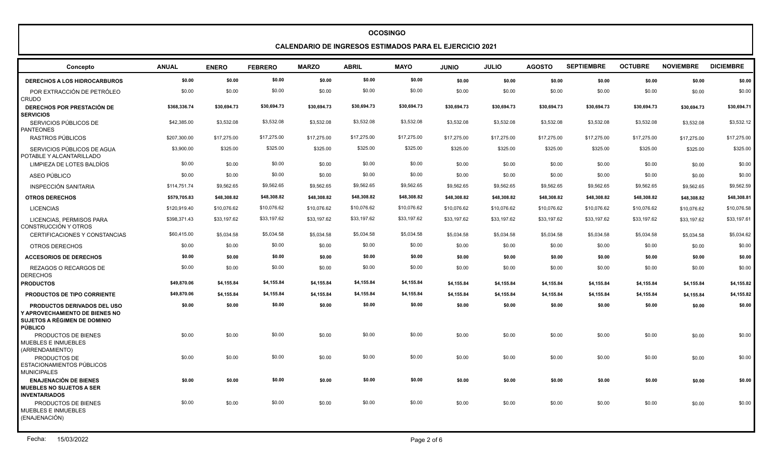**CALENDARIO DE INGRESOS ESTIMADOS PARA EL EJERCICIO 2021**

| Concepto                                                                                                                      | <b>ANUAL</b> | <b>ENERO</b> | <b>FEBRERO</b> | <b>MARZO</b> | <b>ABRIL</b> | <b>MAYO</b> | <b>JUNIO</b> | <b>JULIO</b> | <b>AGOSTO</b> | <b>SEPTIEMBRE</b> | <b>OCTUBRE</b> | <b>NOVIEMBRE</b> | <b>DICIEMBRE</b> |
|-------------------------------------------------------------------------------------------------------------------------------|--------------|--------------|----------------|--------------|--------------|-------------|--------------|--------------|---------------|-------------------|----------------|------------------|------------------|
| <b>DERECHOS A LOS HIDROCARBUROS</b>                                                                                           | \$0.00       | \$0.00       | \$0.00         | \$0.00       | \$0.00       | \$0.00      | \$0.00       | \$0.00       | \$0.00        | \$0.00            | \$0.00         | \$0.00           | \$0.00           |
| POR EXTRACCIÓN DE PETRÓLEO<br>CRUDO                                                                                           | \$0.00       | \$0.00       | \$0.00         | \$0.00       | \$0.00       | \$0.00      | \$0.00       | \$0.00       | \$0.00        | \$0.00            | \$0.00         | \$0.00           | \$0.00           |
| <b>DERECHOS POR PRESTACIÓN DE</b><br><b>SERVICIOS</b>                                                                         | \$368,336.74 | \$30,694.73  | \$30,694.73    | \$30,694.73  | \$30,694.73  | \$30,694.73 | \$30,694.73  | \$30,694.73  | \$30,694.73   | \$30,694.73       | \$30,694.73    | \$30.694.73      | \$30,694.71      |
| SERVICIOS PÚBLICOS DE<br><b>PANTEONES</b>                                                                                     | \$42,385.00  | \$3,532.08   | \$3,532.08     | \$3,532.08   | \$3,532.08   | \$3,532.08  | \$3,532.08   | \$3,532.08   | \$3,532.08    | \$3,532.08        | \$3,532.08     | \$3,532.08       | \$3,532.12       |
| RASTROS PÚBLICOS                                                                                                              | \$207,300.00 | \$17,275.00  | \$17,275.00    | \$17,275.00  | \$17,275.00  | \$17,275.00 | \$17,275.00  | \$17,275.00  | \$17,275.00   | \$17,275.00       | \$17,275.00    | \$17,275.00      | \$17,275.00      |
| SERVICIOS PÚBLICOS DE AGUA<br>POTABLE Y ALCANTARILLADO                                                                        | \$3,900.00   | \$325.00     | \$325.00       | \$325.00     | \$325.00     | \$325.00    | \$325.00     | \$325.00     | \$325.00      | \$325.00          | \$325.00       | \$325.00         | \$325.00         |
| LIMPIEZA DE LOTES BALDÍOS                                                                                                     | \$0.00       | \$0.00       | \$0.00         | \$0.00       | \$0.00       | \$0.00      | \$0.00       | \$0.00       | \$0.00        | \$0.00            | \$0.00         | \$0.00           | \$0.00           |
| ASEO PÚBLICO                                                                                                                  | \$0.00       | \$0.00       | \$0.00         | \$0.00       | \$0.00       | \$0.00      | \$0.00       | \$0.00       | \$0.00        | \$0.00            | \$0.00         | \$0.00           | \$0.00           |
| <b>INSPECCIÓN SANITARIA</b>                                                                                                   | \$114,751.74 | \$9,562.65   | \$9,562.65     | \$9,562.65   | \$9,562.65   | \$9,562.65  | \$9,562.65   | \$9,562.65   | \$9,562.65    | \$9,562.65        | \$9,562.65     | \$9,562.65       | \$9,562.59       |
| <b>OTROS DERECHOS</b>                                                                                                         | \$579,705.83 | \$48,308.82  | \$48,308.82    | \$48,308.82  | \$48,308.82  | \$48,308.82 | \$48,308.82  | \$48,308.82  | \$48,308.82   | \$48,308.82       | \$48,308.82    | \$48,308.82      | \$48,308.81      |
| <b>LICENCIAS</b>                                                                                                              | \$120,919.40 | \$10,076.62  | \$10,076.62    | \$10,076.62  | \$10,076.62  | \$10,076.62 | \$10,076.62  | \$10,076.62  | \$10,076.62   | \$10,076.62       | \$10,076.62    | \$10,076.62      | \$10,076.58      |
| LICENCIAS, PERMISOS PARA<br>CONSTRUCCIÓN Y OTROS                                                                              | \$398,371.43 | \$33,197.62  | \$33,197.62    | \$33,197.62  | \$33,197.62  | \$33,197.62 | \$33,197.62  | \$33,197.62  | \$33,197.62   | \$33,197.62       | \$33,197.62    | \$33,197.62      | \$33,197.61      |
| CERTIFICACIONES Y CONSTANCIAS                                                                                                 | \$60,415.00  | \$5,034.58   | \$5,034.58     | \$5,034.58   | \$5,034.58   | \$5,034.58  | \$5,034.58   | \$5,034.58   | \$5,034.58    | \$5,034.58        | \$5,034.58     | \$5,034.58       | \$5,034.62       |
| OTROS DERECHOS                                                                                                                | \$0.00       | \$0.00       | \$0.00         | \$0.00       | \$0.00       | \$0.00      | \$0.00       | \$0.00       | \$0.00        | \$0.00            | \$0.00         | \$0.00           | \$0.00           |
| <b>ACCESORIOS DE DERECHOS</b>                                                                                                 | \$0.00       | \$0.00       | \$0.00         | \$0.00       | \$0.00       | \$0.00      | \$0.00       | \$0.00       | \$0.00        | \$0.00            | \$0.00         | \$0.00           | \$0.00           |
| REZAGOS O RECARGOS DE<br><b>DERECHOS</b>                                                                                      | \$0.00       | \$0.00       | \$0.00         | \$0.00       | \$0.00       | \$0.00      | \$0.00       | \$0.00       | \$0.00        | \$0.00            | \$0.00         | \$0.00           | \$0.00           |
| <b>PRODUCTOS</b>                                                                                                              | \$49,870.06  | \$4,155.84   | \$4,155.84     | \$4,155.84   | \$4,155.84   | \$4,155.84  | \$4,155.84   | \$4,155.84   | \$4,155.84    | \$4,155.84        | \$4,155.84     | \$4,155.84       | \$4,155.82       |
| <b>PRODUCTOS DE TIPO CORRIENTE</b>                                                                                            | \$49,870.06  | \$4,155.84   | \$4,155.84     | \$4,155.84   | \$4,155.84   | \$4,155.84  | \$4,155.84   | \$4,155.84   | \$4,155.84    | \$4,155.84        | \$4,155.84     | \$4,155.84       | \$4,155.82       |
| <b>PRODUCTOS DERIVADOS DEL USO</b><br>Y APROVECHAMIENTO DE BIENES NO<br><b>SUJETOS A RÉGIMEN DE DOMINIO</b><br><b>PÚBLICO</b> | \$0.00       | \$0.00       | \$0.00         | \$0.00       | \$0.00       | \$0.00      | \$0.00       | \$0.00       | \$0.00        | \$0.00            | \$0.00         | \$0.00           | \$0.00           |
| PRODUCTOS DE BIENES<br><b>MUEBLES E INMUEBLES</b><br>(ARRENDAMIENTO)                                                          | \$0.00       | \$0.00       | \$0.00         | \$0.00       | \$0.00       | \$0.00      | \$0.00       | \$0.00       | \$0.00        | \$0.00            | \$0.00         | \$0.00           | \$0.00           |
| PRODUCTOS DE<br>ESTACIONAMIENTOS PÚBLICOS<br><b>MUNICIPALES</b>                                                               | \$0.00       | \$0.00       | \$0.00         | \$0.00       | \$0.00       | \$0.00      | \$0.00       | \$0.00       | \$0.00        | \$0.00            | \$0.00         | \$0.00           | \$0.00           |
| <b>ENAJENACIÓN DE BIENES</b><br><b>MUEBLES NO SUJETOS A SER</b><br><b>INVENTARIADOS</b>                                       | \$0.00       | \$0.00       | \$0.00         | \$0.00       | \$0.00       | \$0.00      | \$0.00       | \$0.00       | \$0.00        | \$0.00            | \$0.00         | \$0.00           | \$0.00           |
| PRODUCTOS DE BIENES<br><b>MUEBLES E INMUEBLES</b><br>(ENAJENACIÓN)                                                            | \$0.00       | \$0.00       | \$0.00         | \$0.00       | \$0.00       | \$0.00      | \$0.00       | \$0.00       | \$0.00        | \$0.00            | \$0.00         | \$0.00           | \$0.00           |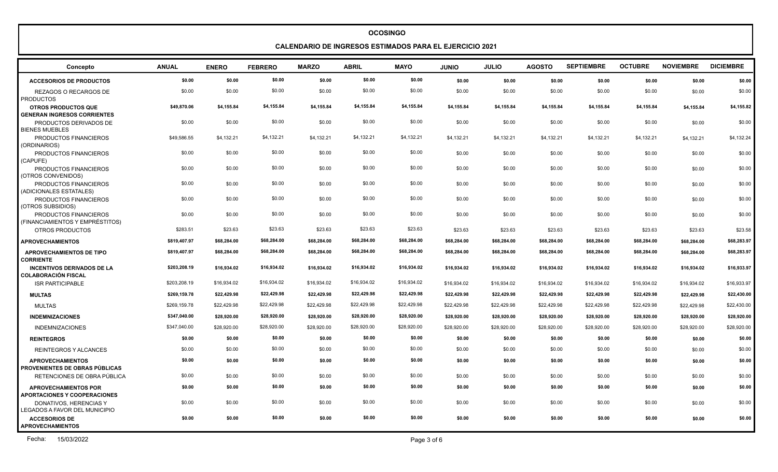**CALENDARIO DE INGRESOS ESTIMADOS PARA EL EJERCICIO 2021**

| Concepto                                                           | <b>ANUAL</b> | <b>ENERO</b> | <b>FEBRERO</b> | <b>MARZO</b> | <b>ABRIL</b> | <b>MAYO</b> | <b>JUNIO</b> | <b>JULIO</b> | <b>AGOSTO</b> | <b>SEPTIEMBRE</b> | <b>OCTUBRE</b> | <b>NOVIEMBRE</b> | <b>DICIEMBRE</b> |
|--------------------------------------------------------------------|--------------|--------------|----------------|--------------|--------------|-------------|--------------|--------------|---------------|-------------------|----------------|------------------|------------------|
| <b>ACCESORIOS DE PRODUCTOS</b>                                     | \$0.00       | \$0.00       | \$0.00         | \$0.00       | \$0.00       | \$0.00      | \$0.00       | \$0.00       | \$0.00        | \$0.00            | \$0.00         | \$0.00           | \$0.00           |
| REZAGOS O RECARGOS DE<br><b>PRODUCTOS</b>                          | \$0.00       | \$0.00       | \$0.00         | \$0.00       | \$0.00       | \$0.00      | \$0.00       | \$0.00       | \$0.00        | \$0.00            | \$0.00         | \$0.00           | \$0.00           |
| <b>OTROS PRODUCTOS QUE</b><br><b>GENERAN INGRESOS CORRIENTES</b>   | \$49,870.06  | \$4,155.84   | \$4,155.84     | \$4,155.84   | \$4,155.84   | \$4,155.84  | \$4,155.84   | \$4,155.84   | \$4,155.84    | \$4,155.84        | \$4,155.84     | \$4,155.84       | \$4,155.82       |
| PRODUCTOS DERIVADOS DE<br><b>BIENES MUEBLES</b>                    | \$0.00       | \$0.00       | \$0.00         | \$0.00       | \$0.00       | \$0.00      | \$0.00       | \$0.00       | \$0.00        | \$0.00            | \$0.00         | \$0.00           | \$0.00           |
| PRODUCTOS FINANCIEROS<br>(ORDINARIOS)                              | \$49,586.55  | \$4,132.21   | \$4,132.21     | \$4,132.21   | \$4,132.21   | \$4,132.21  | \$4,132.21   | \$4,132.21   | \$4,132.21    | \$4,132.21        | \$4,132.21     | \$4,132.21       | \$4,132.24       |
| PRODUCTOS FINANCIEROS<br>(CAPUFE)                                  | \$0.00       | \$0.00       | \$0.00         | \$0.00       | \$0.00       | \$0.00      | \$0.00       | \$0.00       | \$0.00        | \$0.00            | \$0.00         | \$0.00           | \$0.00           |
| PRODUCTOS FINANCIEROS<br>(OTROS CONVENIDOS)                        | \$0.00       | \$0.00       | \$0.00         | \$0.00       | \$0.00       | \$0.00      | \$0.00       | \$0.00       | \$0.00        | \$0.00            | \$0.00         | \$0.00           | \$0.00           |
| PRODUCTOS FINANCIEROS<br>(ADICIONALES ESTATALES)                   | \$0.00       | \$0.00       | \$0.00         | \$0.00       | \$0.00       | \$0.00      | \$0.00       | \$0.00       | \$0.00        | \$0.00            | \$0.00         | \$0.00           | \$0.00           |
| PRODUCTOS FINANCIEROS<br>(OTROS SUBSIDIOS)                         | \$0.00       | \$0.00       | \$0.00         | \$0.00       | \$0.00       | \$0.00      | \$0.00       | \$0.00       | \$0.00        | \$0.00            | \$0.00         | \$0.00           | \$0.00           |
| PRODUCTOS FINANCIEROS<br>(FINANCIAMIENTOS Y EMPRÉSTITOS)           | \$0.00       | \$0.00       | \$0.00         | \$0.00       | \$0.00       | \$0.00      | \$0.00       | \$0.00       | \$0.00        | \$0.00            | \$0.00         | \$0.00           | \$0.00           |
| OTROS PRODUCTOS                                                    | \$283.51     | \$23.63      | \$23.63        | \$23.63      | \$23.63      | \$23.63     | \$23.63      | \$23.63      | \$23.63       | \$23.63           | \$23.63        | \$23.63          | \$23.58          |
| <b>APROVECHAMIENTOS</b>                                            | \$819,407.97 | \$68,284.00  | \$68,284.00    | \$68,284.00  | \$68,284.00  | \$68,284.00 | \$68,284.00  | \$68,284.00  | \$68,284.00   | \$68,284.00       | \$68,284.00    | \$68,284.00      | \$68,283.97      |
| <b>APROVECHAMIENTOS DE TIPO</b><br><b>CORRIENTE</b>                | \$819,407.97 | \$68,284.00  | \$68,284.00    | \$68,284.00  | \$68,284.00  | \$68,284.00 | \$68,284.00  | \$68,284.00  | \$68,284.00   | \$68,284.00       | \$68,284.00    | \$68,284.00      | \$68,283.97      |
| <b>INCENTIVOS DERIVADOS DE LA</b><br><b>COLABORACIÓN FISCAL</b>    | \$203,208.19 | \$16.934.02  | \$16,934.02    | \$16,934.02  | \$16,934.02  | \$16,934.02 | \$16.934.02  | \$16,934.02  | \$16.934.02   | \$16,934.02       | \$16,934.02    | \$16.934.02      | \$16,933.97      |
| <b>ISR PARTICIPABLE</b>                                            | \$203,208.19 | \$16,934.02  | \$16,934.02    | \$16.934.02  | \$16,934.02  | \$16,934.02 | \$16,934.02  | \$16,934.02  | \$16,934.02   | \$16,934.02       | \$16,934.02    | \$16,934.02      | \$16,933.97      |
| <b>MULTAS</b>                                                      | \$269,159.78 | \$22.429.98  | \$22,429.98    | \$22.429.98  | \$22,429.98  | \$22,429.98 | \$22.429.98  | \$22,429.98  | \$22,429.98   | \$22,429.98       | \$22,429.98    | \$22,429.98      | \$22,430.00      |
| <b>MULTAS</b>                                                      | \$269,159.78 | \$22,429.98  | \$22,429.98    | \$22,429.98  | \$22,429.98  | \$22,429.98 | \$22,429.98  | \$22,429.98  | \$22,429.98   | \$22,429.98       | \$22,429.98    | \$22.429.98      | \$22,430.00      |
| <b>INDEMNIZACIONES</b>                                             | \$347,040.00 | \$28,920.00  | \$28,920.00    | \$28,920.00  | \$28,920.00  | \$28,920.00 | \$28,920.00  | \$28,920.00  | \$28,920.00   | \$28,920.00       | \$28,920.00    | \$28.920.00      | \$28,920.00      |
| <b>INDEMNIZACIONES</b>                                             | \$347,040.00 | \$28,920.00  | \$28,920.00    | \$28,920.00  | \$28,920.00  | \$28,920.00 | \$28,920.00  | \$28,920.00  | \$28,920.00   | \$28,920.00       | \$28,920.00    | \$28,920.00      | \$28,920.00      |
| <b>REINTEGROS</b>                                                  | \$0.00       | \$0.00       | \$0.00         | \$0.00       | \$0.00       | \$0.00      | \$0.00       | \$0.00       | \$0.00        | \$0.00            | \$0.00         | \$0.00           | \$0.00           |
| <b>REINTEGROS Y ALCANCES</b>                                       | \$0.00       | \$0.00       | \$0.00         | \$0.00       | \$0.00       | \$0.00      | \$0.00       | \$0.00       | \$0.00        | \$0.00            | \$0.00         | \$0.00           | \$0.00           |
| <b>APROVECHAMIENTOS</b><br><b>PROVENIENTES DE OBRAS PÚBLICAS</b>   | \$0.00       | \$0.00       | \$0.00         | \$0.00       | \$0.00       | \$0.00      | \$0.00       | \$0.00       | \$0.00        | \$0.00            | \$0.00         | \$0.00           | \$0.00           |
| RETENCIONES DE OBRA PÚBLICA                                        | \$0.00       | \$0.00       | \$0.00         | \$0.00       | \$0.00       | \$0.00      | \$0.00       | \$0.00       | \$0.00        | \$0.00            | \$0.00         | \$0.00           | \$0.00           |
| <b>APROVECHAMIENTOS POR</b><br><b>APORTACIONES Y COOPERACIONES</b> | \$0.00       | \$0.00       | \$0.00         | \$0.00       | \$0.00       | \$0.00      | \$0.00       | \$0.00       | \$0.00        | \$0.00            | \$0.00         | \$0.00           | \$0.00           |
| DONATIVOS, HERENCIAS Y<br>LEGADOS A FAVOR DEL MUNICIPIO            | \$0.00       | \$0.00       | \$0.00         | \$0.00       | \$0.00       | \$0.00      | \$0.00       | \$0.00       | \$0.00        | \$0.00            | \$0.00         | \$0.00           | \$0.00           |
| <b>ACCESORIOS DE</b><br><b>APROVECHAMIENTOS</b>                    | \$0.00       | \$0.00       | \$0.00         | \$0.00       | \$0.00       | \$0.00      | \$0.00       | \$0.00       | \$0.00        | \$0.00            | \$0.00         | \$0.00           | \$0.00           |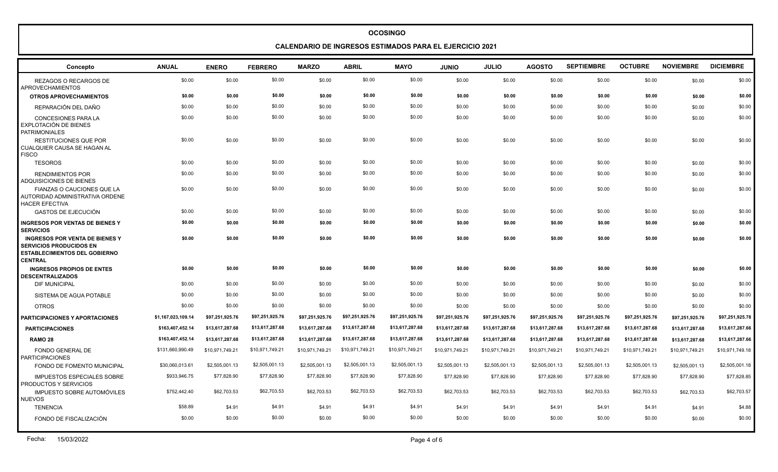**CALENDARIO DE INGRESOS ESTIMADOS PARA EL EJERCICIO 2021**

| Concepto                                                                                                                          | <b>ANUAL</b>       | <b>ENERO</b>    | <b>FEBRERO</b>  | <b>MARZO</b>    | <b>ABRIL</b>    | <b>MAYO</b>     | <b>JUNIO</b>    | <b>JULIO</b>    | <b>AGOSTO</b>   | <b>SEPTIEMBRE</b> | <b>OCTUBRE</b>  | <b>NOVIEMBRE</b> | <b>DICIEMBRE</b> |
|-----------------------------------------------------------------------------------------------------------------------------------|--------------------|-----------------|-----------------|-----------------|-----------------|-----------------|-----------------|-----------------|-----------------|-------------------|-----------------|------------------|------------------|
| REZAGOS O RECARGOS DE<br><b>APROVECHAMIENTOS</b>                                                                                  | \$0.00             | \$0.00          | \$0.00          | \$0.00          | \$0.00          | \$0.00          | \$0.00          | \$0.00          | \$0.00          | \$0.00            | \$0.00          | \$0.00           | \$0.00           |
| <b>OTROS APROVECHAMIENTOS</b>                                                                                                     | \$0.00             | \$0.00          | \$0.00          | \$0.00          | \$0.00          | \$0.00          | \$0.00          | \$0.00          | \$0.00          | \$0.00            | \$0.00          | \$0.00           | \$0.00           |
| REPARACIÓN DEL DAÑO                                                                                                               | \$0.00             | \$0.00          | \$0.00          | \$0.00          | \$0.00          | \$0.00          | \$0.00          | \$0.00          | \$0.00          | \$0.00            | \$0.00          | \$0.00           | \$0.00           |
| <b>CONCESIONES PARA LA</b><br>EXPLOTACIÓN DE BIENES<br><b>PATRIMONIALES</b>                                                       | \$0.00             | \$0.00          | \$0.00          | \$0.00          | \$0.00          | \$0.00          | \$0.00          | \$0.00          | \$0.00          | \$0.00            | \$0.00          | \$0.00           | \$0.00           |
| <b>RESTITUCIONES QUE POR</b><br>CUALQUIER CAUSA SE HAGAN AL<br><b>FISCO</b>                                                       | \$0.00             | \$0.00          | \$0.00          | \$0.00          | \$0.00          | \$0.00          | \$0.00          | \$0.00          | \$0.00          | \$0.00            | \$0.00          | \$0.00           | \$0.00           |
| <b>TESOROS</b>                                                                                                                    | \$0.00             | \$0.00          | \$0.00          | \$0.00          | \$0.00          | \$0.00          | \$0.00          | \$0.00          | \$0.00          | \$0.00            | \$0.00          | \$0.00           | \$0.00           |
| <b>RENDIMIENTOS POR</b><br><b>ADQUISICIONES DE BIENES</b>                                                                         | \$0.00             | \$0.00          | \$0.00          | \$0.00          | \$0.00          | \$0.00          | \$0.00          | \$0.00          | \$0.00          | \$0.00            | \$0.00          | \$0.00           | \$0.00           |
| <b>FIANZAS O CAUCIONES QUE LA</b><br>AUTORIDAD ADMINISTRATIVA ORDENE<br><b>HACER EFECTIVA</b>                                     | \$0.00             | \$0.00          | \$0.00          | \$0.00          | \$0.00          | \$0.00          | \$0.00          | \$0.00          | \$0.00          | \$0.00            | \$0.00          | \$0.00           | \$0.00           |
| <b>GASTOS DE EJECUCIÓN</b>                                                                                                        | \$0.00             | \$0.00          | \$0.00          | \$0.00          | \$0.00          | \$0.00          | \$0.00          | \$0.00          | \$0.00          | \$0.00            | \$0.00          | \$0.00           | \$0.00           |
| <b>INGRESOS POR VENTAS DE BIENES Y</b><br><b>SERVICIOS</b>                                                                        | \$0.00             | \$0.00          | \$0.00          | \$0.00          | \$0.00          | \$0.00          | \$0.00          | \$0.00          | \$0.00          | \$0.00            | \$0.00          | \$0.00           | \$0.00           |
| <b>INGRESOS POR VENTA DE BIENES Y</b><br><b>SERVICIOS PRODUCIDOS EN</b><br><b>ESTABLECIMIENTOS DEL GOBIERNO</b><br><b>CENTRAL</b> | \$0.00             | \$0.00          | \$0.00          | \$0.00          | \$0.00          | \$0.00          | \$0.00          | \$0.00          | \$0.00          | \$0.00            | \$0.00          | \$0.00           | \$0.00           |
| <b>INGRESOS PROPIOS DE ENTES</b><br><b>DESCENTRALIZADOS</b>                                                                       | \$0.00             | \$0.00          | \$0.00          | \$0.00          | \$0.00          | \$0.00          | \$0.00          | \$0.00          | \$0.00          | \$0.00            | \$0.00          | \$0.00           | \$0.00           |
| <b>DIF MUNICIPAL</b>                                                                                                              | \$0.00             | \$0.00          | \$0.00          | \$0.00          | \$0.00          | \$0.00          | \$0.00          | \$0.00          | \$0.00          | \$0.00            | \$0.00          | \$0.00           | \$0.00           |
| SISTEMA DE AGUA POTABLE                                                                                                           | \$0.00             | \$0.00          | \$0.00          | \$0.00          | \$0.00          | \$0.00          | \$0.00          | \$0.00          | \$0.00          | \$0.00            | \$0.00          | \$0.00           | \$0.00           |
| <b>OTROS</b>                                                                                                                      | \$0.00             | \$0.00          | \$0.00          | \$0.00          | \$0.00          | \$0.00          | \$0.00          | \$0.00          | \$0.00          | \$0.00            | \$0.00          | \$0.00           | \$0.00           |
| PARTICIPACIONES Y APORTACIONES                                                                                                    | \$1,167,023,109.14 | \$97.251.925.76 | \$97,251,925.76 | \$97,251,925.76 | \$97,251,925.76 | \$97,251,925.76 | \$97,251,925.76 | \$97,251,925.76 | \$97,251,925.76 | \$97,251,925.76   | \$97,251,925.76 | \$97,251,925.76  | \$97,251,925.78  |
| <b>PARTICIPACIONES</b>                                                                                                            | \$163,407,452.14   | \$13,617,287.68 | \$13,617,287.68 | \$13,617,287.68 | \$13,617,287.68 | \$13,617,287.68 | \$13,617,287.68 | \$13,617,287.68 | \$13,617,287.68 | \$13,617,287.68   | \$13,617,287.68 | \$13,617,287.68  | \$13,617,287.66  |
| RAMO <sub>28</sub>                                                                                                                | \$163,407,452.14   | \$13,617,287.68 | \$13,617,287.68 | \$13,617,287.68 | \$13,617,287.68 | \$13,617,287.68 | \$13,617,287.68 | \$13,617,287.68 | \$13,617,287.68 | \$13,617,287.68   | \$13,617,287.68 | \$13,617,287.68  | \$13,617,287.66  |
| <b>FONDO GENERAL DE</b><br><b>PARTICIPACIONES</b>                                                                                 | \$131,660,990.49   | \$10,971,749.21 | \$10,971,749.21 | \$10,971,749.21 | \$10,971,749.21 | \$10,971,749.21 | \$10,971,749.21 | \$10,971,749.21 | \$10,971,749.21 | \$10,971,749.21   | \$10,971,749.21 | \$10,971,749.21  | \$10,971,749.18  |
| FONDO DE FOMENTO MUNICIPAL                                                                                                        | \$30,060,013.61    | \$2,505,001.13  | \$2,505,001.13  | \$2,505,001.13  | \$2,505,001.13  | \$2,505,001.13  | \$2,505,001.13  | \$2,505,001.13  | \$2,505,001.13  | \$2,505,001.13    | \$2,505,001.13  | \$2,505,001.13   | \$2,505,001.18   |
| <b>IMPUESTOS ESPECIALES SOBRE</b><br>PRODUCTOS Y SERVICIOS                                                                        | \$933,946.75       | \$77,828.90     | \$77,828.90     | \$77,828.90     | \$77,828.90     | \$77,828.90     | \$77,828.90     | \$77,828.90     | \$77,828.90     | \$77,828.90       | \$77,828.90     | \$77,828.90      | \$77,828.85      |
| <b>IMPUESTO SOBRE AUTOMÓVILES</b><br><b>NUEVOS</b>                                                                                | \$752,442.40       | \$62,703.53     | \$62,703.53     | \$62,703.53     | \$62,703.53     | \$62,703.53     | \$62,703.53     | \$62,703.53     | \$62,703.53     | \$62,703.53       | \$62,703.53     | \$62,703.53      | \$62,703.57      |
| <b>TENENCIA</b>                                                                                                                   | \$58.89            | \$4.91          | \$4.91          | \$4.91          | \$4.91          | \$4.91          | \$4.91          | \$4.91          | \$4.91          | \$4.91            | \$4.91          | \$4.91           | \$4.88           |
| FONDO DE FISCALIZACIÓN                                                                                                            | \$0.00             | \$0.00          | \$0.00          | \$0.00          | \$0.00          | \$0.00          | \$0.00          | \$0.00          | \$0.00          | \$0.00            | \$0.00          | \$0.00           | \$0.00           |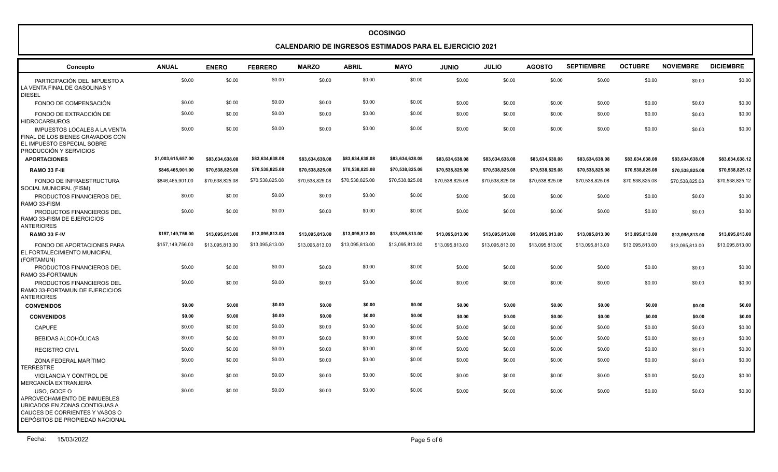#### **CALENDARIO DE INGRESOS ESTIMADOS PARA EL EJERCICIO 2021**

| Concepto                                                                                                                                          | <b>ANUAL</b>       | <b>ENERO</b>    | <b>FEBRERO</b>  | <b>MARZO</b>    | <b>ABRIL</b>    | <b>MAYO</b>     | <b>JUNIO</b>    | <b>JULIO</b>    | <b>AGOSTO</b>   | <b>SEPTIEMBRE</b> | <b>OCTUBRE</b>  | <b>NOVIEMBRE</b> | <b>DICIEMBRE</b> |
|---------------------------------------------------------------------------------------------------------------------------------------------------|--------------------|-----------------|-----------------|-----------------|-----------------|-----------------|-----------------|-----------------|-----------------|-------------------|-----------------|------------------|------------------|
| PARTICIPACIÓN DEL IMPUESTO A<br>LA VENTA FINAL DE GASOLINAS Y<br><b>DIESEL</b>                                                                    | \$0.00             | \$0.00          | \$0.00          | \$0.00          | \$0.00          | \$0.00          | \$0.00          | \$0.00          | \$0.00          | \$0.00            | \$0.00          | \$0.00           | \$0.00           |
| FONDO DE COMPENSACIÓN                                                                                                                             | \$0.00             | \$0.00          | \$0.00          | \$0.00          | \$0.00          | \$0.00          | \$0.00          | \$0.00          | \$0.00          | \$0.00            | \$0.00          | \$0.00           | \$0.00           |
| FONDO DE EXTRACCIÓN DE<br><b>HIDROCARBUROS</b>                                                                                                    | \$0.00             | \$0.00          | \$0.00          | \$0.00          | \$0.00          | \$0.00          | \$0.00          | \$0.00          | \$0.00          | \$0.00            | \$0.00          | \$0.00           | \$0.00           |
| <b>IMPUESTOS LOCALES A LA VENTA</b><br>FINAL DE LOS BIENES GRAVADOS CON<br>EL IMPUESTO ESPECIAL SOBRE<br>PRODUCCIÓN Y SERVICIOS                   | \$0.00             | \$0.00          | \$0.00          | \$0.00          | \$0.00          | \$0.00          | \$0.00          | \$0.00          | \$0.00          | \$0.00            | \$0.00          | \$0.00           | \$0.00           |
| <b>APORTACIONES</b>                                                                                                                               | \$1,003,615,657.00 | \$83,634,638.08 | \$83,634,638.08 | \$83,634,638.08 | \$83,634,638.08 | \$83,634,638.08 | \$83,634,638.08 | \$83,634,638.08 | \$83,634,638.08 | \$83,634,638.08   | \$83,634,638.08 | \$83,634,638.08  | \$83,634,638.12  |
| RAMO 33 F-III                                                                                                                                     | \$846,465,901.00   | \$70,538,825.08 | \$70,538,825.08 | \$70,538,825.08 | \$70,538,825.08 | \$70,538,825.08 | \$70,538,825.08 | \$70,538,825.08 | \$70,538,825.08 | \$70,538,825.08   | \$70,538,825.08 | \$70,538,825.08  | \$70,538,825.12  |
| FONDO DE INFRAESTRUCTURA<br>SOCIAL MUNICIPAL (FISM)                                                                                               | \$846,465,901.00   | \$70,538,825.08 | \$70,538,825.08 | \$70,538,825.08 | \$70,538,825.08 | \$70,538,825.08 | \$70,538,825.08 | \$70,538,825.08 | \$70,538,825.08 | \$70,538,825.08   | \$70,538,825.08 | \$70,538,825.08  | \$70,538,825.12  |
| PRODUCTOS FINANCIEROS DEL<br>RAMO 33-FISM                                                                                                         | \$0.00             | \$0.00          | \$0.00          | \$0.00          | \$0.00          | \$0.00          | \$0.00          | \$0.00          | \$0.00          | \$0.00            | \$0.00          | \$0.00           | \$0.00           |
| PRODUCTOS FINANCIEROS DEL<br>RAMO 33-FISM DE EJERCICIOS<br><b>ANTERIORES</b>                                                                      | \$0.00             | \$0.00          | \$0.00          | \$0.00          | \$0.00          | \$0.00          | \$0.00          | \$0.00          | \$0.00          | \$0.00            | \$0.00          | \$0.00           | \$0.00           |
| RAMO 33 F-IV                                                                                                                                      | \$157,149,756.00   | \$13,095,813.00 | \$13,095,813.00 | \$13,095,813.00 | \$13.095.813.00 | \$13.095.813.00 | \$13,095,813.00 | \$13,095,813.00 | \$13,095,813.00 | \$13,095,813.00   | \$13,095,813.00 | \$13,095,813.00  | \$13,095,813.00  |
| FONDO DE APORTACIONES PARA<br>EL FORTALECIMIENTO MUNICIPAL<br>(FORTAMUN)                                                                          | \$157,149,756.00   | \$13,095,813.00 | \$13,095,813.00 | \$13,095,813.00 | \$13,095,813.00 | \$13,095,813.00 | \$13,095,813.00 | \$13,095,813.00 | \$13,095,813.00 | \$13,095,813.00   | \$13,095,813.00 | \$13,095,813.00  | \$13,095,813.00  |
| PRODUCTOS FINANCIEROS DEL<br>RAMO 33-FORTAMUN                                                                                                     | \$0.00             | \$0.00          | \$0.00          | \$0.00          | \$0.00          | \$0.00          | \$0.00          | \$0.00          | \$0.00          | \$0.00            | \$0.00          | \$0.00           | \$0.00           |
| PRODUCTOS FINANCIEROS DEL<br>RAMO 33-FORTAMUN DE EJERCICIOS<br><b>ANTERIORES</b>                                                                  | \$0.00             | \$0.00          | \$0.00          | \$0.00          | \$0.00          | \$0.00          | \$0.00          | \$0.00          | \$0.00          | \$0.00            | \$0.00          | \$0.00           | \$0.00           |
| <b>CONVENIDOS</b>                                                                                                                                 | \$0.00             | \$0.00          | \$0.00          | \$0.00          | \$0.00          | \$0.00          | \$0.00          | \$0.00          | \$0.00          | \$0.00            | \$0.00          | \$0.00           | \$0.00           |
| <b>CONVENIDOS</b>                                                                                                                                 | \$0.00             | \$0.00          | \$0.00          | \$0.00          | \$0.00          | \$0.00          | \$0.00          | \$0.00          | \$0.00          | \$0.00            | \$0.00          | \$0.00           | \$0.00           |
| <b>CAPUFE</b>                                                                                                                                     | \$0.00             | \$0.00          | \$0.00          | \$0.00          | \$0.00          | \$0.00          | \$0.00          | \$0.00          | \$0.00          | \$0.00            | \$0.00          | \$0.00           | \$0.00           |
| <b>BEBIDAS ALCOHÓLICAS</b>                                                                                                                        | \$0.00             | \$0.00          | \$0.00          | \$0.00          | \$0.00          | \$0.00          | \$0.00          | \$0.00          | \$0.00          | \$0.00            | \$0.00          | \$0.00           | \$0.00           |
| <b>REGISTRO CIVIL</b>                                                                                                                             | \$0.00             | \$0.00          | \$0.00          | \$0.00          | \$0.00          | \$0.00          | \$0.00          | \$0.00          | \$0.00          | \$0.00            | \$0.00          | \$0.00           | \$0.00           |
| ZONA FEDERAL MARÍTIMO<br><b>TERRESTRE</b>                                                                                                         | \$0.00             | \$0.00          | \$0.00          | \$0.00          | \$0.00          | \$0.00          | \$0.00          | \$0.00          | \$0.00          | \$0.00            | \$0.00          | \$0.00           | \$0.00           |
| VIGILANCIA Y CONTROL DE<br>MERCANCÍA EXTRANJERA                                                                                                   | \$0.00             | \$0.00          | \$0.00          | \$0.00          | \$0.00          | \$0.00          | \$0.00          | \$0.00          | \$0.00          | \$0.00            | \$0.00          | \$0.00           | \$0.00           |
| USO, GOCE O<br>APROVECHAMIENTO DE INMUEBLES<br>UBICADOS EN ZONAS CONTIGUAS A<br>CAUCES DE CORRIENTES Y VASOS O<br>DEPÓSITOS DE PROPIEDAD NACIONAL | \$0.00             | \$0.00          | \$0.00          | \$0.00          | \$0.00          | \$0.00          | \$0.00          | \$0.00          | \$0.00          | \$0.00            | \$0.00          | \$0.00           | \$0.00           |